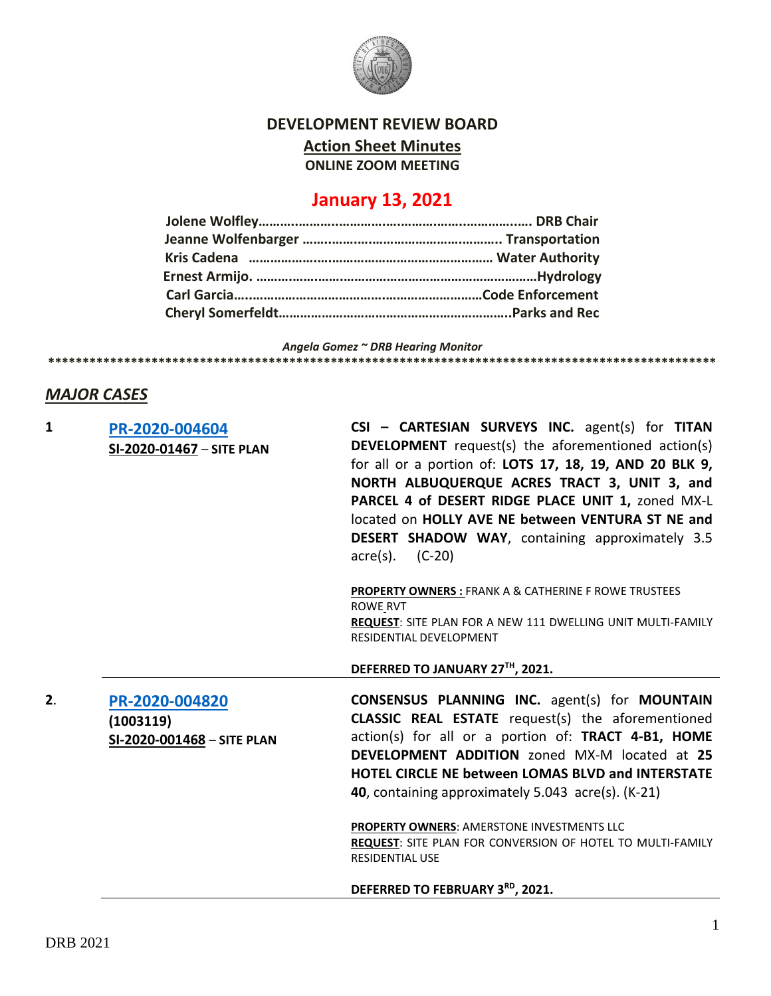

**DEVELOPMENT REVIEW BOARD**

**Action Sheet Minutes**

**ONLINE ZOOM MEETING**

# **January 13, 2021**

*Angela Gomez ~ DRB Hearing Monitor*

# **\*\*\*\*\*\*\*\*\*\*\*\*\*\*\*\*\*\*\*\*\*\*\*\*\*\*\*\*\*\*\*\*\*\*\*\*\*\*\*\*\*\*\*\*\*\*\*\*\*\*\*\*\*\*\*\*\*\*\*\*\*\*\*\*\*\*\*\*\*\*\*\*\*\*\*\*\*\*\*\*\*\*\*\*\*\*\*\*\*\*\*\*\*\*\*\*\***

# *MAJOR CASES*

| 1  | PR-2020-004604<br>SI-2020-01467 - SITE PLAN               | CSI - CARTESIAN SURVEYS INC. agent(s) for TITAN<br><b>DEVELOPMENT</b> request(s) the aforementioned action(s)<br>for all or a portion of: LOTS 17, 18, 19, AND 20 BLK 9,<br>NORTH ALBUQUERQUE ACRES TRACT 3, UNIT 3, and<br>PARCEL 4 of DESERT RIDGE PLACE UNIT 1, zoned MX-L<br>located on HOLLY AVE NE between VENTURA ST NE and<br><b>DESERT SHADOW WAY, containing approximately 3.5</b><br>$(C-20)$<br>$\text{acre}(s)$ . |
|----|-----------------------------------------------------------|--------------------------------------------------------------------------------------------------------------------------------------------------------------------------------------------------------------------------------------------------------------------------------------------------------------------------------------------------------------------------------------------------------------------------------|
|    |                                                           | <b>PROPERTY OWNERS: FRANK A &amp; CATHERINE F ROWE TRUSTEES</b><br><b>ROWE RVT</b><br>REQUEST: SITE PLAN FOR A NEW 111 DWELLING UNIT MULTI-FAMILY<br>RESIDENTIAL DEVELOPMENT                                                                                                                                                                                                                                                   |
|    |                                                           | DEFERRED TO JANUARY 27TH, 2021.                                                                                                                                                                                                                                                                                                                                                                                                |
| 2. | PR-2020-004820<br>(1003119)<br>SI-2020-001468 - SITE PLAN | <b>CONSENSUS PLANNING INC.</b> agent(s) for <b>MOUNTAIN</b><br><b>CLASSIC REAL ESTATE</b> request(s) the aforementioned<br>action(s) for all or a portion of: TRACT 4-B1, HOME<br><b>DEVELOPMENT ADDITION</b> zoned MX-M located at 25<br><b>HOTEL CIRCLE NE between LOMAS BLVD and INTERSTATE</b><br>40, containing approximately 5.043 acre(s). (K-21)                                                                       |
|    |                                                           | <b>PROPERTY OWNERS: AMERSTONE INVESTMENTS LLC</b><br><b>REQUEST: SITE PLAN FOR CONVERSION OF HOTEL TO MULTI-FAMILY</b><br><b>RESIDENTIAL USE</b>                                                                                                                                                                                                                                                                               |

**DEFERRED TO FEBRUARY 3RD, 2021.**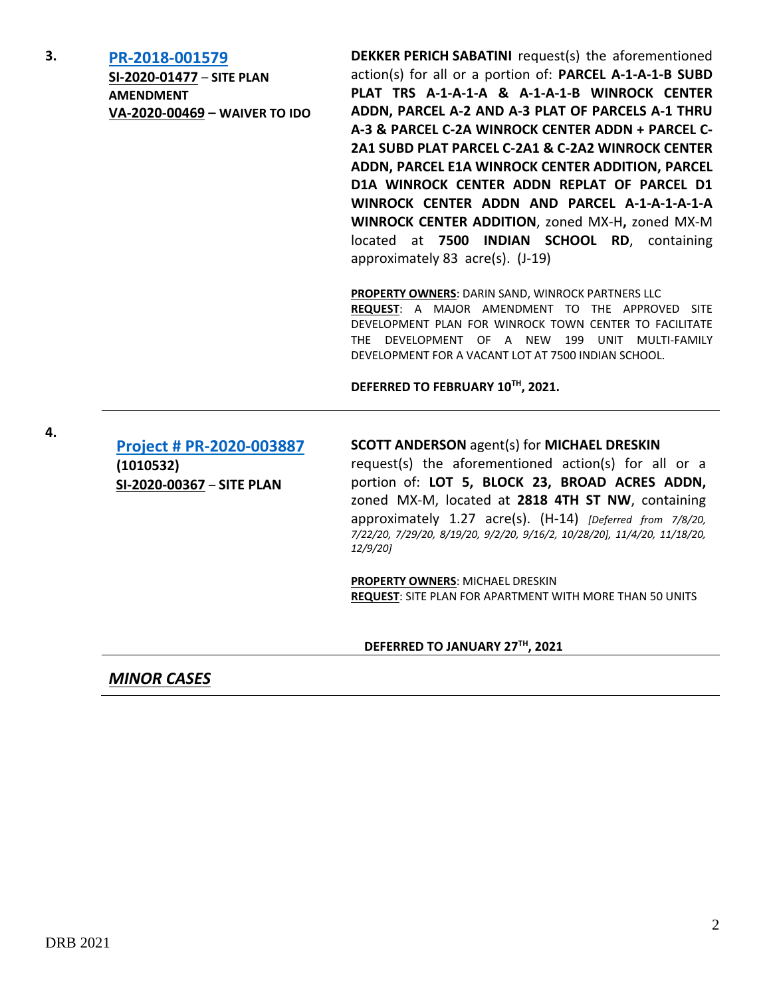**3. [PR-2018-001579](http://data.cabq.gov/government/planning/DRB/PR-2018-001579/DRB%20Submittals/PR-2018-001579_Jan_13_2021/Application/)**

**SI-2020-01477** – **SITE PLAN AMENDMENT VA-2020-00469 – WAIVER TO IDO**

**DEKKER PERICH SABATINI** request(s) the aforementioned action(s) for all or a portion of: **PARCEL A-1-A-1-B SUBD PLAT TRS A-1-A-1-A & A-1-A-1-B WINROCK CENTER ADDN, PARCEL A-2 AND A-3 PLAT OF PARCELS A-1 THRU A-3 & PARCEL C-2A WINROCK CENTER ADDN + PARCEL C-2A1 SUBD PLAT PARCEL C-2A1 & C-2A2 WINROCK CENTER ADDN, PARCEL E1A WINROCK CENTER ADDITION, PARCEL D1A WINROCK CENTER ADDN REPLAT OF PARCEL D1 WINROCK CENTER ADDN AND PARCEL A-1-A-1-A-1-A WINROCK CENTER ADDITION**, zoned MX-H**,** zoned MX-M located at **7500 INDIAN SCHOOL RD**, containing approximately 83 acre(s). (J-19)

**PROPERTY OWNERS**: DARIN SAND, WINROCK PARTNERS LLC

**REQUEST**: A MAJOR AMENDMENT TO THE APPROVED SITE DEVELOPMENT PLAN FOR WINROCK TOWN CENTER TO FACILITATE THE DEVELOPMENT OF A NEW 199 UNIT MULTI-FAMILY DEVELOPMENT FOR A VACANT LOT AT 7500 INDIAN SCHOOL.

**DEFERRED TO FEBRUARY 10TH, 2021.**

**[Project # PR-2020-003887](http://data.cabq.gov/government/planning/DRB/PR-2020-003887/DRB%20Submittals/) (1010532) SI-2020-00367** – **SITE PLAN**

#### **SCOTT ANDERSON** agent(s) for **MICHAEL DRESKIN**

request(s) the aforementioned action(s) for all or a portion of: **LOT 5, BLOCK 23, BROAD ACRES ADDN,** zoned MX-M, located at **2818 4TH ST NW**, containing approximately 1.27 acre(s). (H-14) *[Deferred from 7/8/20, 7/22/20, 7/29/20, 8/19/20, 9/2/20, 9/16/2, 10/28/20], 11/4/20, 11/18/20, 12/9/20]*

**PROPERTY OWNERS**: MICHAEL DRESKIN **REQUEST**: SITE PLAN FOR APARTMENT WITH MORE THAN 50 UNITS

**DEFERRED TO JANUARY 27TH, 2021**

*MINOR CASES*

**4.**

DRB 2021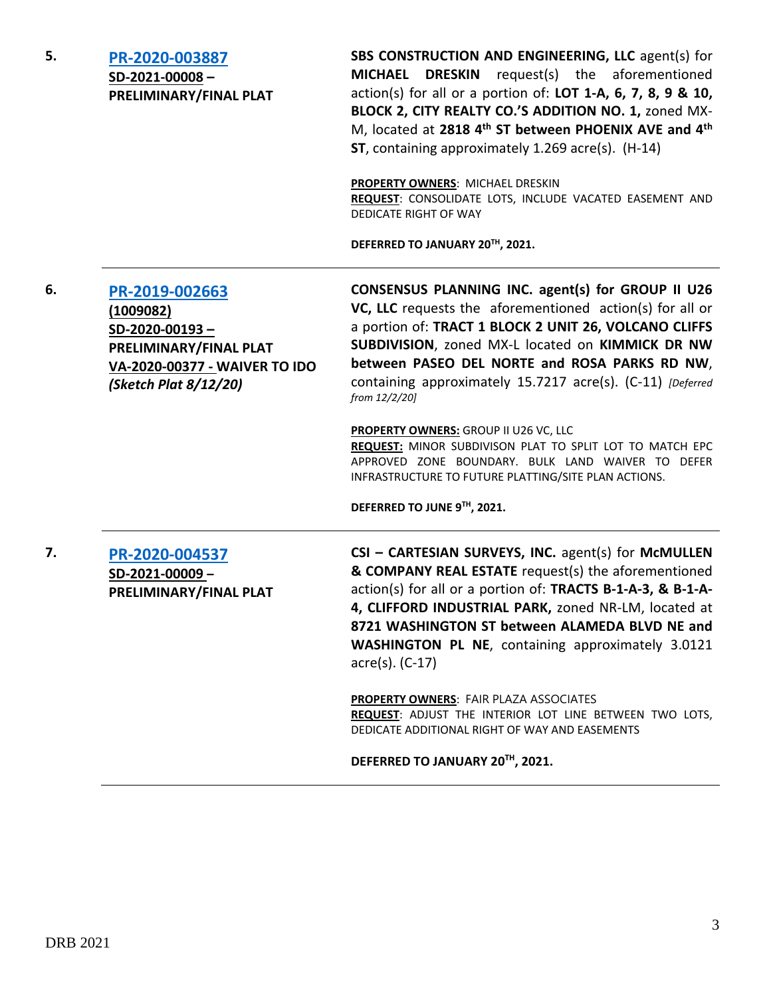# **5. [PR-2020-003887](http://data.cabq.gov/government/planning/DRB/PR-2020-003887/DRB%20Submittals/PR-2020-003887_JAN_13_2021/Application/FINAL%20PLAT%20SUBMITTAL%20DRB%202020-003887%20(3).pdf) SD-2021-00008 – PRELIMINARY/FINAL PLAT**

**SBS CONSTRUCTION AND ENGINEERING, LLC** agent(s) for **MICHAEL DRESKIN** request(s) the aforementioned action(s) for all or a portion of: **LOT 1-A, 6, 7, 8, 9 & 10, BLOCK 2, CITY REALTY CO.'S ADDITION NO. 1,** zoned MX-M, located at **2818 4th ST between PHOENIX AVE and 4th ST**, containing approximately 1.269 acre(s). (H-14)

**PROPERTY OWNERS**: MICHAEL DRESKIN **REQUEST**: CONSOLIDATE LOTS, INCLUDE VACATED EASEMENT AND DEDICATE RIGHT OF WAY

**DEFERRED TO JANUARY 20TH, 2021.**

### **6. [PR-2019-002663](http://data.cabq.gov/government/planning/DRB/PR-2019-002663/DRB%20Submittals/) (1009082) SD-2020-00193 – PRELIMINARY/FINAL PLAT VA-2020-00377 - WAIVER TO IDO** *(Sketch Plat 8/12/20)*

**CONSENSUS PLANNING INC. agent(s) for GROUP II U26 VC, LLC** requests the aforementioned action(s) for all or a portion of: **TRACT 1 BLOCK 2 UNIT 26, VOLCANO CLIFFS SUBDIVISION**, zoned MX-L located on **KIMMICK DR NW between PASEO DEL NORTE and ROSA PARKS RD NW**, containing approximately 15.7217 acre(s). (C-11) *[Deferred from 12/2/20]*

**PROPERTY OWNERS:** GROUP II U26 VC, LLC

**REQUEST:** MINOR SUBDIVISON PLAT TO SPLIT LOT TO MATCH EPC APPROVED ZONE BOUNDARY. BULK LAND WAIVER TO DEFER INFRASTRUCTURE TO FUTURE PLATTING/SITE PLAN ACTIONS.

**DEFERRED TO JUNE 9TH, 2021.**

**7. [PR-2020-004537](http://data.cabq.gov/government/planning/DRB/PR-2020-004537/DRB%20Submittals/PR-2020-004537_JAN_13_2021/Application/DRB-app_Final_PR-2020-004537RS.pdf) SD-2021-00009 – PRELIMINARY/FINAL PLAT**

**CSI – CARTESIAN SURVEYS, INC.** agent(s) for **McMULLEN & COMPANY REAL ESTATE** request(s) the aforementioned action(s) for all or a portion of: **TRACTS B-1-A-3, & B-1-A-4, CLIFFORD INDUSTRIAL PARK,** zoned NR-LM, located at **8721 WASHINGTON ST between ALAMEDA BLVD NE and WASHINGTON PL NE**, containing approximately 3.0121 acre(s). (C-17)

**PROPERTY OWNERS**: FAIR PLAZA ASSOCIATES **REQUEST**: ADJUST THE INTERIOR LOT LINE BETWEEN TWO LOTS, DEDICATE ADDITIONAL RIGHT OF WAY AND EASEMENTS

**DEFERRED TO JANUARY 20TH, 2021.**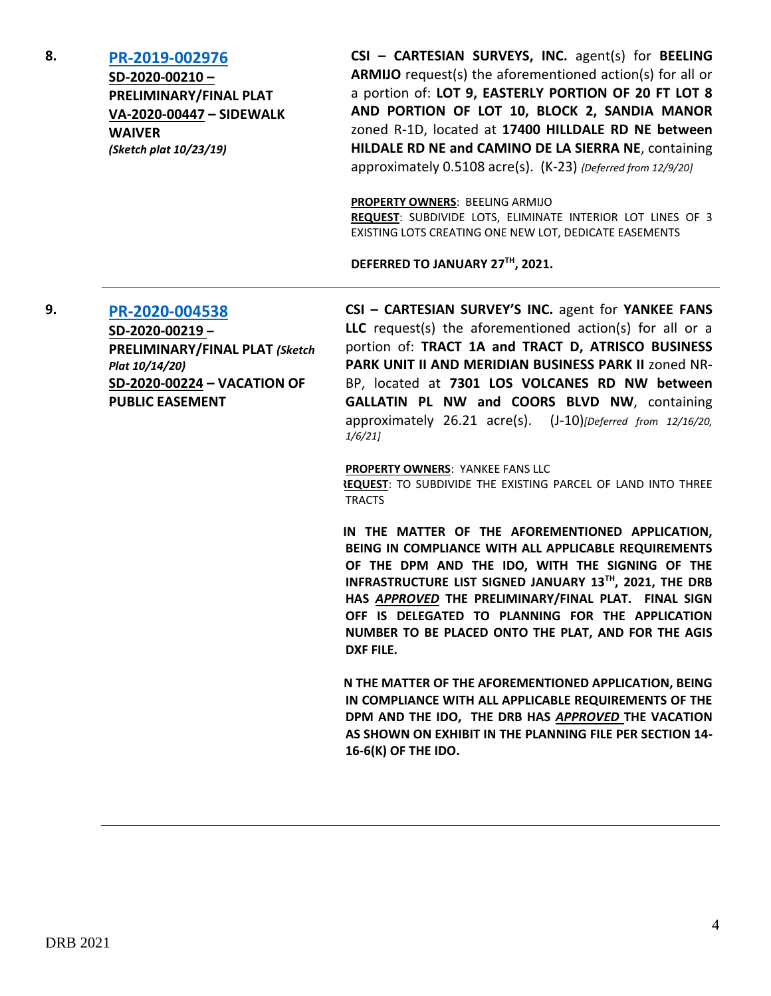#### **8. [PR-2019-002976](http://data.cabq.gov/government/planning/DRB/PR-2019-002976/DRB%20Submittals/) SD-2020-00210 – PRELIMINARY/FINAL PLAT VA-2020-00447 – SIDEWALK WAIVER** *(Sketch plat 10/23/19)*

**CSI – CARTESIAN SURVEYS, INC.** agent(s) for **BEELING ARMIJO** request(s) the aforementioned action(s) for all or a portion of: **LOT 9, EASTERLY PORTION OF 20 FT LOT 8 AND PORTION OF LOT 10, BLOCK 2, SANDIA MANOR**  zoned R-1D, located at **17400 HILLDALE RD NE between HILDALE RD NE and CAMINO DE LA SIERRA NE**, containing approximately 0.5108 acre(s). (K-23) *{Deferred from 12/9/20]*

**PROPERTY OWNERS**: BEELING ARMIJO

**REQUEST**: SUBDIVIDE LOTS, ELIMINATE INTERIOR LOT LINES OF 3 EXISTING LOTS CREATING ONE NEW LOT, DEDICATE EASEMENTS

**DEFERRED TO JANUARY 27TH, 2021.**

**9. [PR-2020-004538](http://data.cabq.gov/government/planning/DRB/PR-2020-004538/DRB%20Submittals/) SD-2020-00219 – PRELIMINARY/FINAL PLAT** *(Sketch Plat 10/14/20)* **SD-2020-00224 – VACATION OF PUBLIC EASEMENT**

**CSI – CARTESIAN SURVEY'S INC.** agent for **YANKEE FANS LLC** request(s) the aforementioned action(s) for all or a portion of: **TRACT 1A and TRACT D, ATRISCO BUSINESS PARK UNIT II AND MERIDIAN BUSINESS PARK II** zoned NR-BP, located at **7301 LOS VOLCANES RD NW between GALLATIN PL NW and COORS BLVD NW**, containing approximately 26.21 acre(s). (J-10)*[Deferred from 12/16/20, 1/6/21]*

**PROPERTY OWNERS**: YANKEE FANS LLC

**REQUEST**: TO SUBDIVIDE THE EXISTING PARCEL OF LAND INTO THREE TRACTS

**IN THE MATTER OF THE AFOREMENTIONED APPLICATION, BEING IN COMPLIANCE WITH ALL APPLICABLE REQUIREMENTS OF THE DPM AND THE IDO, WITH THE SIGNING OF THE INFRASTRUCTURE LIST SIGNED JANUARY 13TH, 2021, THE DRB HAS** *APPROVED* **THE PRELIMINARY/FINAL PLAT. FINAL SIGN OFF IS DELEGATED TO PLANNING FOR THE APPLICATION NUMBER TO BE PLACED ONTO THE PLAT, AND FOR THE AGIS DXF FILE.**

**IN THE MATTER OF THE AFOREMENTIONED APPLICATION, BEING IN COMPLIANCE WITH ALL APPLICABLE REQUIREMENTS OF THE DPM AND THE IDO, THE DRB HAS** *APPROVED* **THE VACATION AS SHOWN ON EXHIBIT IN THE PLANNING FILE PER SECTION 14- 16-6(K) OF THE IDO.**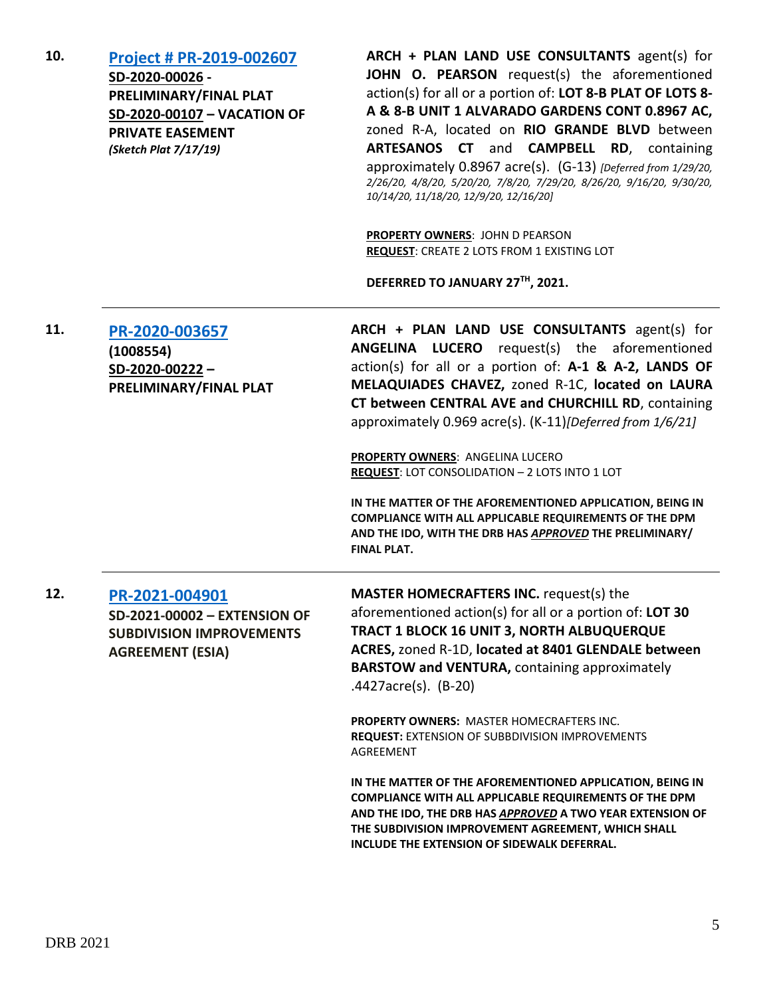| 10. | <b>Project # PR-2019-002607</b><br>SD-2020-00026 -<br>PRELIMINARY/FINAL PLAT<br>SD-2020-00107 - VACATION OF<br><b>PRIVATE EASEMENT</b><br>(Sketch Plat 7/17/19) | ARCH + PLAN LAND USE CONSULTANTS agent(s) for<br>JOHN O. PEARSON request(s) the aforementioned<br>action(s) for all or a portion of: LOT 8-B PLAT OF LOTS 8-<br>A & 8-B UNIT 1 ALVARADO GARDENS CONT 0.8967 AC,<br>zoned R-A, located on RIO GRANDE BLVD between<br>ARTESANOS CT and CAMPBELL RD, containing<br>approximately 0.8967 acre(s). (G-13) [Deferred from 1/29/20,<br>2/26/20, 4/8/20, 5/20/20, 7/8/20, 7/29/20, 8/26/20, 9/16/20, 9/30/20,<br>10/14/20, 11/18/20, 12/9/20, 12/16/20] |
|-----|-----------------------------------------------------------------------------------------------------------------------------------------------------------------|-------------------------------------------------------------------------------------------------------------------------------------------------------------------------------------------------------------------------------------------------------------------------------------------------------------------------------------------------------------------------------------------------------------------------------------------------------------------------------------------------|
|     |                                                                                                                                                                 | <b>PROPERTY OWNERS: JOHN D PEARSON</b><br>REQUEST: CREATE 2 LOTS FROM 1 EXISTING LOT<br>DEFERRED TO JANUARY 27TH, 2021.                                                                                                                                                                                                                                                                                                                                                                         |
| 11. | PR-2020-003657<br>(1008554)<br>$SD-2020-00222-$<br>PRELIMINARY/FINAL PLAT                                                                                       | ARCH + PLAN LAND USE CONSULTANTS agent(s) for<br><b>ANGELINA LUCERO</b> request(s) the aforementioned<br>action(s) for all or a portion of: A-1 & A-2, LANDS OF<br>MELAQUIADES CHAVEZ, zoned R-1C, located on LAURA<br>CT between CENTRAL AVE and CHURCHILL RD, containing<br>approximately 0.969 acre(s). (K-11) [Deferred from 1/6/21]                                                                                                                                                        |
|     |                                                                                                                                                                 | <b>PROPERTY OWNERS: ANGELINA LUCERO</b><br>REQUEST: LOT CONSOLIDATION - 2 LOTS INTO 1 LOT<br>IN THE MATTER OF THE AFOREMENTIONED APPLICATION, BEING IN<br>COMPLIANCE WITH ALL APPLICABLE REQUIREMENTS OF THE DPM<br>AND THE IDO, WITH THE DRB HAS APPROVED THE PRELIMINARY/<br><b>FINAL PLAT.</b>                                                                                                                                                                                               |
| 12. | PR-2021-004901<br>SD-2021-00002 - EXTENSION OF<br><b>SUBDIVISION IMPROVEMENTS</b><br><b>AGREEMENT (ESIA)</b>                                                    | <b>MASTER HOMECRAFTERS INC. request(s) the</b><br>aforementioned action(s) for all or a portion of: LOT 30<br>TRACT 1 BLOCK 16 UNIT 3, NORTH ALBUQUERQUE<br>ACRES, zoned R-1D, located at 8401 GLENDALE between<br><b>BARSTOW and VENTURA, containing approximately</b><br>$.4427$ acre(s). (B-20)                                                                                                                                                                                              |
|     |                                                                                                                                                                 | <b>PROPERTY OWNERS: MASTER HOMECRAFTERS INC.</b><br><b>REQUEST: EXTENSION OF SUBBDIVISION IMPROVEMENTS</b><br>AGREEMENT                                                                                                                                                                                                                                                                                                                                                                         |
|     |                                                                                                                                                                 | IN THE MATTER OF THE AFOREMENTIONED APPLICATION, BEING IN<br><b>COMPLIANCE WITH ALL APPLICABLE REQUIREMENTS OF THE DPM</b><br>AND THE IDO, THE DRB HAS APPROVED A TWO YEAR EXTENSION OF<br>THE SUBDIVISION IMPROVEMENT AGREEMENT, WHICH SHALL<br>INCLUDE THE EXTENSION OF SIDEWALK DEFERRAL.                                                                                                                                                                                                    |